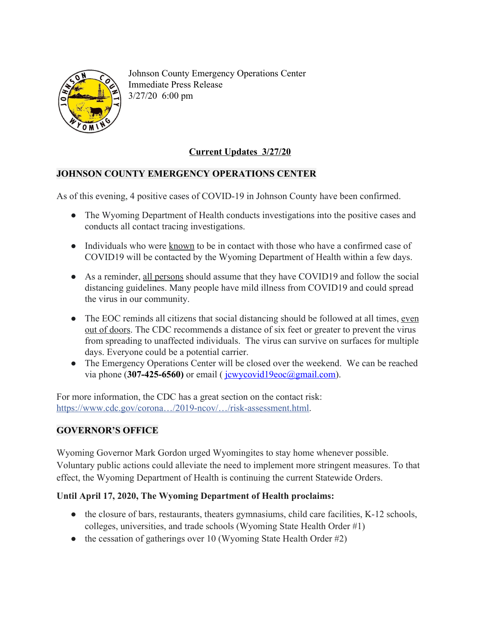

Johnson County Emergency Operations Center Immediate Press Release 3/27/20 6:00 pm

# **Current Updates 3/27/20**

### **JOHNSON COUNTY EMERGENCY OPERATIONS CENTER**

As of this evening, 4 positive cases of COVID-19 in Johnson County have been confirmed.

- The Wyoming Department of Health conducts investigations into the positive cases and conducts all contact tracing investigations.
- Individuals who were known to be in contact with those who have a confirmed case of COVID19 will be contacted by the Wyoming Department of Health within a few days.
- As a reminder, all persons should assume that they have COVID19 and follow the social distancing guidelines. Many people have mild illness from COVID19 and could spread the virus in our community.
- The EOC reminds all citizens that social distancing should be followed at all times, even out of doors. The CDC recommends a distance of six feet or greater to prevent the virus from spreading to unaffected individuals. The virus can survive on surfaces for multiple days. Everyone could be a potential carrier.
- The Emergency Operations Center will be closed over the weekend. We can be reached via phone (307-425-6560) or email ( $\frac{i$ cwycovid19eoc@gmail.com).

For more information, the CDC has a great section on the contact risk: [https://www.cdc.gov/corona…/2019-ncov/…/risk-assessment.html.](https://www.cdc.gov/coronavirus/2019-ncov/php/risk-assessment.html?fbclid=IwAR3tbDbfq6iROxDoFFUGnMvIMfec2JRdwIxKHA8haiPIG7OKtBobVoRigI0)

## **GOVERNOR'S OFFICE**

Wyoming Governor Mark Gordon urged Wyomingites to stay home whenever possible. Voluntary public actions could alleviate the need to implement more stringent measures. To that effect, the Wyoming Department of Health is continuing the current Statewide Orders.

## **Until April 17, 2020, The Wyoming Department of Health proclaims:**

- the closure of bars, restaurants, theaters gymnasiums, child care facilities, K-12 schools, colleges, universities, and trade schools (Wyoming State Health Order #1)
- the cessation of gatherings over 10 (Wyoming State Health Order  $#2$ )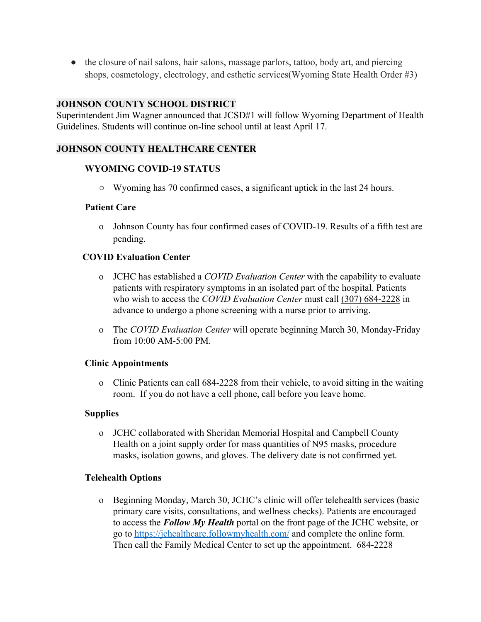• the closure of nail salons, hair salons, massage parlors, tattoo, body art, and piercing shops, cosmetology, electrology, and esthetic services(Wyoming State Health Order #3)

#### **JOHNSON COUNTY SCHOOL DISTRICT**

Superintendent Jim Wagner announced that JCSD#1 will follow Wyoming Department of Health Guidelines. Students will continue on-line school until at least April 17.

### **JOHNSON COUNTY HEALTHCARE CENTER**

#### **WYOMING COVID-19 STATUS**

**○** Wyoming has 70 confirmed cases, a significant uptick in the last 24 hours.

#### **Patient Care**

o Johnson County has four confirmed cases of COVID-19. Results of a fifth test are pending.

#### **COVID Evaluation Center**

- o JCHC has established a *COVID Evaluation Center* with the capability to evaluate patients with respiratory symptoms in an isolated part of the hospital. Patients who wish to access the *COVID Evaluation Center* must call (307) 684-2228 in advance to undergo a phone screening with a nurse prior to arriving.
- o The *COVID Evaluation Center* will operate beginning March 30, Monday-Friday from 10:00 AM-5:00 PM.

#### **Clinic Appointments**

o Clinic Patients can call 684-2228 from their vehicle, to avoid sitting in the waiting room. If you do not have a cell phone, call before you leave home.

#### **Supplies**

o JCHC collaborated with Sheridan Memorial Hospital and Campbell County Health on a joint supply order for mass quantities of N95 masks, procedure masks, isolation gowns, and gloves. The delivery date is not confirmed yet.

#### **Telehealth Options**

o Beginning Monday, March 30, JCHC's clinic will offer telehealth services (basic primary care visits, consultations, and wellness checks). Patients are encouraged to access the *Follow My Health* portal on the front page of the JCHC website, or go to<https://jchealthcare.followmyhealth.com/> and complete the online form. Then call the Family Medical Center to set up the appointment. 684-2228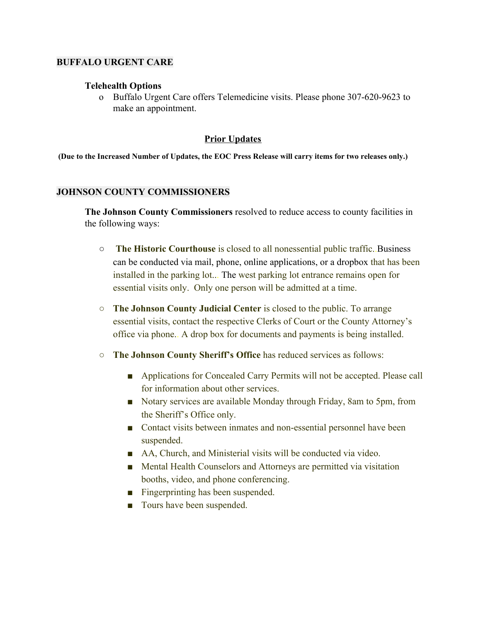#### **BUFFALO URGENT CARE**

#### **Telehealth Options**

o Buffalo Urgent Care offers Telemedicine visits. Please phone 307-620-9623 to make an appointment.

#### **Prior Updates**

(Due to the Increased Number of Updates, the EOC Press Release will carry items for two releases only.)

#### **JOHNSON COUNTY COMMISSIONERS**

**The Johnson County Commissioners** resolved to reduce access to county facilities in the following ways:

- **The Historic Courthouse** is closed to all nonessential public traffic..Business can be conducted via mail, phone, online applications, or a dropbox that has been installed in the parking lot... The west parking lot entrance remains open for essential visits only. Only one person will be admitted at a time.
- **The Johnson County Judicial Center** is closed to the public. To arrange essential visits, contact the respective Clerks of Court or the County Attorney's office via phone.. A drop box for documents and payments is being installed.
- **The Johnson County Sheriff's Office** has reduced services as follows:
	- Applications for Concealed Carry Permits will not be accepted. Please call for information about other services.
	- Notary services are available Monday through Friday, 8am to 5pm, from the Sheriff's Office only.
	- Contact visits between inmates and non-essential personnel have been suspended.
	- AA, Church, and Ministerial visits will be conducted via video.
	- Mental Health Counselors and Attorneys are permitted via visitation booths, video, and phone conferencing.
	- Fingerprinting has been suspended.
	- Tours have been suspended.